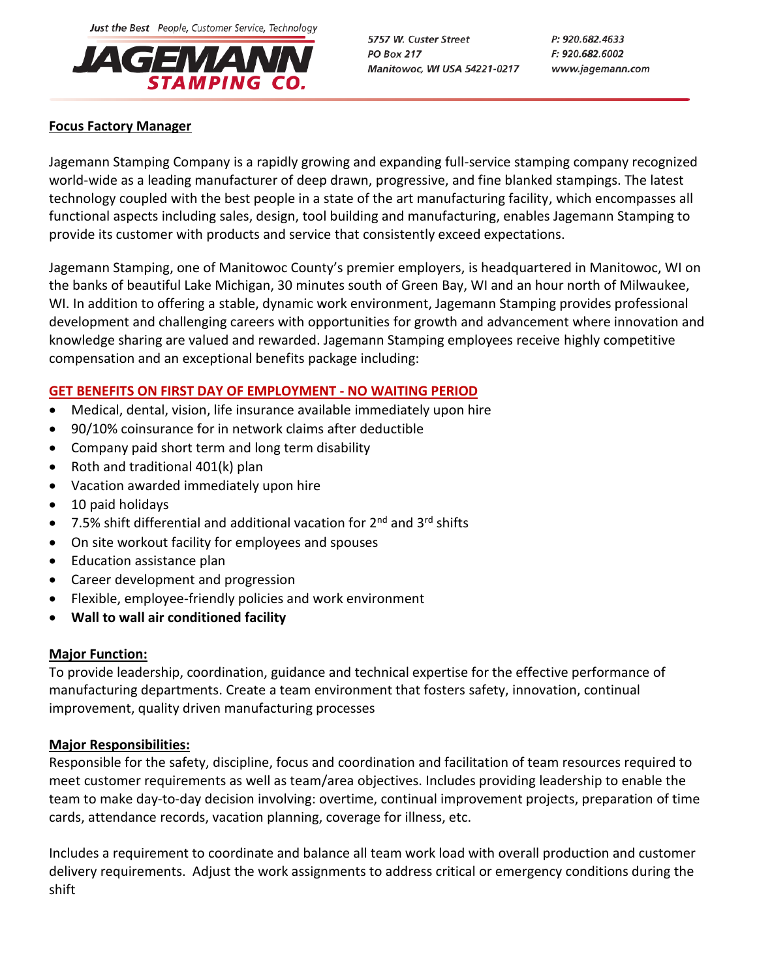Just the Best People, Customer Service, Technology



5757 W. Custer Street **PO Box 217** Manitowoc, WI USA 54221-0217 P: 920.682.4633 F: 920.682.6002 www.jagemann.com

# **Focus Factory Manager**

Jagemann Stamping Company is a rapidly growing and expanding full-service stamping company recognized world-wide as a leading manufacturer of deep drawn, progressive, and fine blanked stampings. The latest technology coupled with the best people in a state of the art manufacturing facility, which encompasses all functional aspects including sales, design, tool building and manufacturing, enables Jagemann Stamping to provide its customer with products and service that consistently exceed expectations.

Jagemann Stamping, one of Manitowoc County's premier employers, is headquartered in Manitowoc, WI on the banks of beautiful Lake Michigan, 30 minutes south of Green Bay, WI and an hour north of Milwaukee, WI. In addition to offering a stable, dynamic work environment, Jagemann Stamping provides professional development and challenging careers with opportunities for growth and advancement where innovation and knowledge sharing are valued and rewarded. Jagemann Stamping employees receive highly competitive compensation and an exceptional benefits package including:

# **GET BENEFITS ON FIRST DAY OF EMPLOYMENT - NO WAITING PERIOD**

- Medical, dental, vision, life insurance available immediately upon hire
- 90/10% coinsurance for in network claims after deductible
- Company paid short term and long term disability
- Roth and traditional  $401(k)$  plan
- Vacation awarded immediately upon hire
- 10 paid holidays
- $\bullet$  7.5% shift differential and additional vacation for 2<sup>nd</sup> and 3<sup>rd</sup> shifts
- On site workout facility for employees and spouses
- Education assistance plan
- Career development and progression
- Flexible, employee-friendly policies and work environment
- **Wall to wall air conditioned facility**

### **Major Function:**

To provide leadership, coordination, guidance and technical expertise for the effective performance of manufacturing departments. Create a team environment that fosters safety, innovation, continual improvement, quality driven manufacturing processes

### **Major Responsibilities:**

Responsible for the safety, discipline, focus and coordination and facilitation of team resources required to meet customer requirements as well as team/area objectives. Includes providing leadership to enable the team to make day-to-day decision involving: overtime, continual improvement projects, preparation of time cards, attendance records, vacation planning, coverage for illness, etc.

Includes a requirement to coordinate and balance all team work load with overall production and customer delivery requirements. Adjust the work assignments to address critical or emergency conditions during the shift